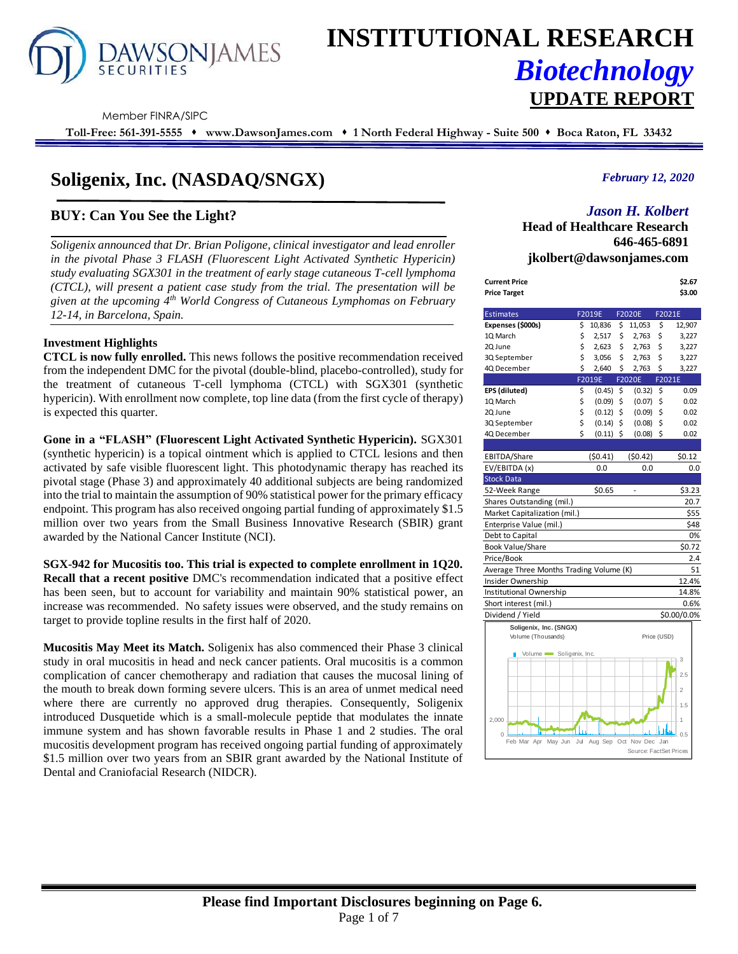

# **INSTITUTIONAL RESEARCH** *Biotechnology* **UPDATE REPORT**

Member FINRA/SIPC

**Toll-Free: 561-391-5555** ⬧ **www.DawsonJames.com** ⬧ **1 North Federal Highway - Suite 500** ⬧ **Boca Raton, FL 33432**

# **Soligenix, Inc. (NASDAQ/SNGX)**

## **BUY: Can You See the Light?**

*Soligenix announced that Dr. Brian Poligone, clinical investigator and lead enroller*  in the pivotal Phase 3 FLASH (Fluorescent Light Activated Synthetic Hypericin) *study evaluating SGX301 in the treatment of early stage cutaneous T-cell lymphoma (CTCL), will present a patient case study from the trial. The presentation will be given at the upcoming 4th World Congress of Cutaneous Lymphomas on February 12-14, in Barcelona, Spain.*

#### **Investment Highlights**

**CTCL is now fully enrolled.** This news follows the positive recommendation received from the independent DMC for the pivotal (double-blind, placebo-controlled), study for the treatment of cutaneous T-cell lymphoma (CTCL) with SGX301 (synthetic hypericin). With enrollment now complete, top line data (from the first cycle of therapy) is expected this quarter.

**Gone in a "FLASH" (Fluorescent Light Activated Synthetic Hypericin).** SGX301 (synthetic hypericin) is a topical ointment which is applied to CTCL lesions and then activated by safe visible fluorescent light. This photodynamic therapy has reached its pivotal stage (Phase 3) and approximately 40 additional subjects are being randomized into the trial to maintain the assumption of 90% statistical power for the primary efficacy endpoint. This program has also received ongoing partial funding of approximately \$1.5 million over two years from the Small Business Innovative Research (SBIR) grant awarded by the National Cancer Institute (NCI).

#### **SGX-942 for Mucositis too. This trial is expected to complete enrollment in 1Q20. Recall that a recent positive** DMC's recommendation indicated that a positive effect has been seen, but to account for variability and maintain 90% statistical power, an increase was recommended. No safety issues were observed, and the study remains on target to provide topline results in the first half of 2020.

**Mucositis May Meet its Match.** Soligenix has also commenced their Phase 3 clinical study in oral mucositis in head and neck cancer patients. Oral mucositis is a common complication of cancer chemotherapy and radiation that causes the mucosal lining of the mouth to break down forming severe ulcers. This is an area of unmet medical need where there are currently no approved drug therapies. Consequently, Soligenix introduced Dusquetide which is a small-molecule peptide that modulates the innate immune system and has shown favorable results in Phase 1 and 2 studies. The oral mucositis development program has received ongoing partial funding of approximately \$1.5 million over two years from an SBIR grant awarded by the National Institute of Dental and Craniofacial Research (NIDCR).

#### *February 12, 2020*

### *Jason H. Kolbert*

**Head of Healthcare Research 646-465-6891 jkolbert@dawsonjames.com**

| Current Price<br>Price Target |        |               | \$2.67<br>\$3.00 |
|-------------------------------|--------|---------------|------------------|
| Fetimatos                     | E201QF | <b>EDODDE</b> | <b>EDOD1E</b>    |

| \$                           | 10,836                              | \$                                         | 11,053                               | \$                                                                        | 12,907                                                                                                    |
|------------------------------|-------------------------------------|--------------------------------------------|--------------------------------------|---------------------------------------------------------------------------|-----------------------------------------------------------------------------------------------------------|
| \$                           | 2,517                               | \$                                         | 2,763                                | \$                                                                        | 3,227                                                                                                     |
| \$                           | 2,623                               | \$                                         | 2,763                                | \$                                                                        | 3,227                                                                                                     |
| \$                           | 3,056                               | \$                                         | 2,763                                | \$                                                                        | 3,227                                                                                                     |
| \$                           | 2,640                               | \$                                         | 2,763                                | \$                                                                        | 3,227                                                                                                     |
|                              |                                     |                                            |                                      | F2021E                                                                    |                                                                                                           |
| \$                           | (0.45)                              | \$                                         |                                      | \$                                                                        | 0.09                                                                                                      |
| \$                           |                                     | \$                                         |                                      | \$                                                                        | 0.02                                                                                                      |
|                              |                                     | \$                                         |                                      | \$                                                                        | 0.02                                                                                                      |
| \$                           |                                     | \$                                         |                                      | \$                                                                        | 0.02                                                                                                      |
| Ś                            |                                     | \$                                         |                                      | \$                                                                        | 0.02                                                                                                      |
|                              |                                     |                                            |                                      |                                                                           |                                                                                                           |
|                              | (50.41)                             |                                            | (50.42)                              |                                                                           | \$0.12                                                                                                    |
|                              | 0.0                                 |                                            |                                      |                                                                           | 0.0                                                                                                       |
|                              |                                     |                                            |                                      |                                                                           |                                                                                                           |
|                              | \$0.65                              |                                            | $\overline{a}$                       |                                                                           | \$3.23                                                                                                    |
|                              |                                     |                                            |                                      |                                                                           | 20.7                                                                                                      |
| Market Capitalization (mil.) |                                     |                                            |                                      |                                                                           | \$55                                                                                                      |
|                              |                                     |                                            |                                      |                                                                           | \$48                                                                                                      |
|                              |                                     |                                            |                                      |                                                                           | 0%                                                                                                        |
|                              |                                     |                                            |                                      |                                                                           | \$0.72                                                                                                    |
|                              |                                     |                                            |                                      |                                                                           | 2.4                                                                                                       |
|                              |                                     |                                            |                                      |                                                                           | 51                                                                                                        |
|                              |                                     |                                            |                                      |                                                                           | 12.4%                                                                                                     |
|                              |                                     |                                            |                                      |                                                                           | 14.8%                                                                                                     |
|                              |                                     |                                            |                                      |                                                                           | 0.6%                                                                                                      |
|                              |                                     |                                            |                                      |                                                                           | \$0.00/0.0%                                                                                               |
|                              |                                     |                                            |                                      |                                                                           |                                                                                                           |
|                              |                                     |                                            |                                      |                                                                           |                                                                                                           |
|                              |                                     |                                            |                                      |                                                                           |                                                                                                           |
|                              |                                     |                                            |                                      |                                                                           | 3                                                                                                         |
|                              |                                     |                                            |                                      |                                                                           | 2.5                                                                                                       |
|                              |                                     |                                            |                                      |                                                                           |                                                                                                           |
|                              |                                     |                                            |                                      |                                                                           | $\overline{2}$                                                                                            |
|                              |                                     |                                            |                                      |                                                                           | 1.5                                                                                                       |
|                              |                                     |                                            |                                      |                                                                           |                                                                                                           |
|                              |                                     |                                            |                                      |                                                                           | 1                                                                                                         |
|                              |                                     |                                            |                                      |                                                                           | 0.5                                                                                                       |
| May Jun                      |                                     |                                            |                                      |                                                                           |                                                                                                           |
|                              | \$<br>Soligenix, Inc. (SNGX)<br>Jul | F2019E<br>F2019E<br>Volume Soligenix, Inc. | (0.09)<br>(0.12)<br>(0.14)<br>(0.11) | <b>F2020E</b><br><b>F2020E</b><br>Average Three Months Trading Volume (K) | F2021E<br>(0.32)<br>(0.07)<br>(0.09)<br>(0.08)<br>(0.08)<br>0.0<br>Price (USD)<br>Aug Sep Oct Nov Dec Jan |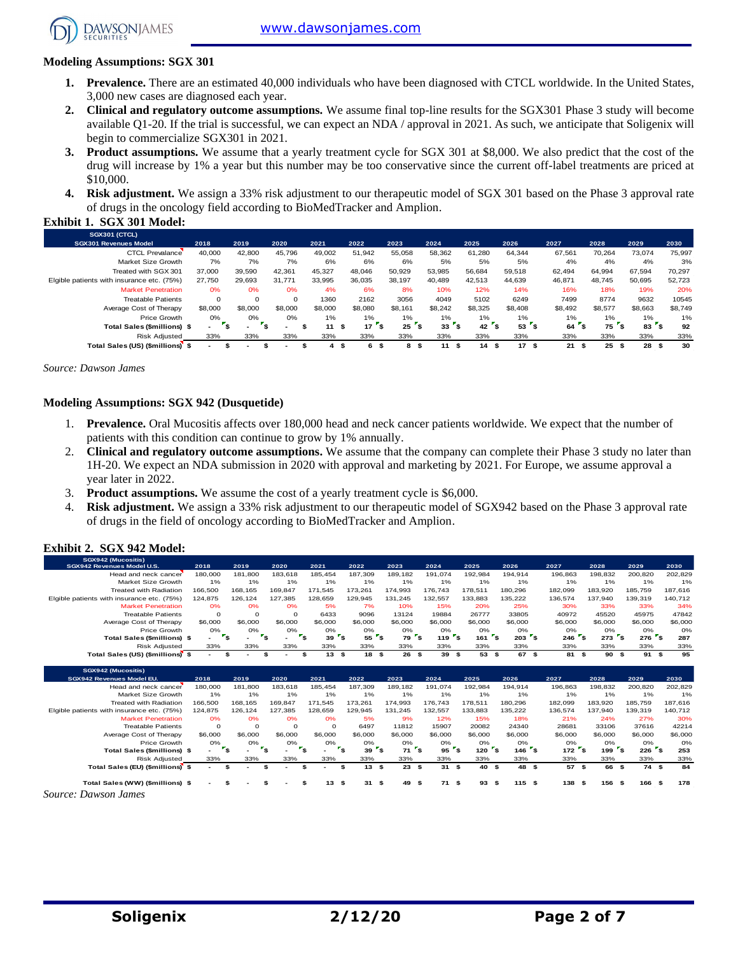[www.dawsonjames.com](http://www.dawsonjames.com/)



**Exhibit 1. SGX 301 Model:** 

#### **Modeling Assumptions: SGX 301**

- **1. Prevalence.** There are an estimated 40,000 individuals who have been diagnosed with CTCL worldwide. In the United States, 3,000 new cases are diagnosed each year.
- **2. Clinical and regulatory outcome assumptions.** We assume final top-line results for the SGX301 Phase 3 study will become available Q1-20. If the trial is successful, we can expect an NDA / approval in 2021. As such, we anticipate that Soligenix will begin to commercialize SGX301 in 2021.
- **3. Product assumptions.** We assume that a yearly treatment cycle for SGX 301 at \$8,000. We also predict that the cost of the drug will increase by 1% a year but this number may be too conservative since the current off-label treatments are priced at \$10,000.
- **4. Risk adjustment.** We assign a 33% risk adjustment to our therapeutic model of SGX 301 based on the Phase 3 approval rate of drugs in the oncology field according to BioMedTracker and Amplion.

| SGX301 (CTCL)                              |          |             |          |         |                  |         |          |         |                |            |            |            |         |
|--------------------------------------------|----------|-------------|----------|---------|------------------|---------|----------|---------|----------------|------------|------------|------------|---------|
| <b>SGX301 Revenues Model</b>               | 2018     | 2019        | 2020     | 2021    | 2022             | 2023    | 2024     | 2025    | 2026           | 2027       | 2028       | 2029       | 2030    |
| <b>CTCL Prevalance</b>                     | 40,000   | 42,800      | 45.796   | 49,002  | 51,942           | 55,058  | 58,362   | 61,280  | 64.344         | 67,561     | 70.264     | 73.074     | 75,997  |
| Market Size Growth                         | 7%       | 7%          | 7%       | 6%      | 6%               | 6%      | 5%       | 5%      | 5%             | 4%         | 4%         | 4%         | 3%      |
| Treated with SGX 301                       | 37,000   | 39,590      | 42.361   | 45.327  | 48.046           | 50,929  | 53.985   | 56.684  | 59.518         | 62.494     | 64.994     | 67.594     | 70,297  |
| Elgible patients with insurance etc. (75%) | 27.750   | 29.693      | 31.771   | 33.995  | 36.035           | 38,197  | 40.489   | 42.513  | 44.639         | 46,871     | 48.745     | 50,695     | 52,723  |
| <b>Market Penetration</b>                  | 0%       | 0%          | 0%       | 4%      | 6%               | 8%      | 10%      | 12%     | 14%            | 16%        | 18%        | 19%        | 20%     |
| <b>Treatable Patients</b>                  | $\Omega$ | $\mathbf 0$ | $\Omega$ | 1360    | 2162             | 3056    | 4049     | 5102    | 6249           | 7499       | 8774       | 9632       | 10545   |
| Average Cost of Therapy                    | \$8,000  | \$8,000     | \$8,000  | \$8,000 | \$8,080          | \$8.161 | \$8.242  | \$8.325 | \$8,408        | \$8,492    | \$8,577    | \$8,663    | \$8,749 |
| Price Growth                               | 0%       | 0%          | 0%       | 1%      | 1%               | 1%      | 1%       | 1%      | $1\%$          | 1%         | $1\%$      | 1%         | 1%      |
| <b>Total Sales (\$millions) \$</b>         | $\sim$   | ÷           |          | 11      | 17<br>ŝ.<br>- 55 | 25      | 33<br>э. | 42      | <b>s</b><br>53 | 64         | 75<br>۵.   | 83         | 92      |
| <b>Risk Adjusted</b>                       | 33%      | 33%         | 33%      | 33%     | 33%              | 33%     | 33%      | 33%     | 33%            | 33%        | 33%        | 33%        | 33%     |
| Total Sales (US) (\$millions) \$           |          |             |          | 4       | 6<br>\$<br>ж     | 8<br>-9 | 11<br>ŝ. | 14<br>9 | 17<br>- \$     | 21<br>- 55 | 25<br>- \$ | 28<br>- 55 | 30      |

*Source: Dawson James*

#### **Modeling Assumptions: SGX 942 (Dusquetide)**

- 1. **Prevalence.** Oral Mucositis affects over 180,000 head and neck cancer patients worldwide. We expect that the number of patients with this condition can continue to grow by 1% annually.
- 2. **Clinical and regulatory outcome assumptions.** We assume that the company can complete their Phase 3 study no later than 1H-20. We expect an NDA submission in 2020 with approval and marketing by 2021. For Europe, we assume approval a year later in 2022.
- 3. **Product assumptions.** We assume the cost of a yearly treatment cycle is \$6,000.
- 4. **Risk adjustment.** We assign a 33% risk adjustment to our therapeutic model of SGX942 based on the Phase 3 approval rate of drugs in the field of oncology according to BioMedTracker and Amplion.

#### **Exhibit 2. SGX 942 Model:**

| SGX942 (Mucositis)<br>SGX942 Revenues Model U.S. | 2018    | 2019                    | 2020                                               | 2021      | 2022                              | 2023          | 2024                                 | 2025                        | 2026               | 2027    | 2028                                        | 2029                               | 2030    |
|--------------------------------------------------|---------|-------------------------|----------------------------------------------------|-----------|-----------------------------------|---------------|--------------------------------------|-----------------------------|--------------------|---------|---------------------------------------------|------------------------------------|---------|
| Head and neck cancer                             | 180,000 | 181.800                 | 183.618                                            | 185.454   | 187,309                           | 189,182       | 191.074                              | 192.984                     | 194.914            | 196.863 | 198,832                                     | 200,820                            | 202,829 |
| Market Size Growth                               | 1%      | 1%                      | 1%                                                 | 1%        | 1%                                | 1%            | 1%                                   | 1%                          | 1%                 | 1%      | 1%                                          | 1%                                 | 1%      |
| <b>Treated with Radiation</b>                    | 166,500 | 168,165                 | 169,847                                            | 171.545   | 173.261                           | 174,993       | 176,743                              | 178,511                     | 180,296            | 182,099 | 183,920                                     | 185,759                            | 187,616 |
| Elgible patients with insurance etc. (75%)       | 124,875 | 126,124                 | 127,385                                            | 128,659   | 129,945                           | 131,245       | 132,557                              | 133,883                     | 135,222            | 136,574 | 137,940                                     | 139,319                            | 140,712 |
| <b>Market Penetration</b>                        | 0%      | 0%                      | 0%                                                 | 5%        | 7%                                | 10%           | 15%                                  | 20%                         | 25%                | 30%     | 33%                                         | 33%                                | 34%     |
| <b>Treatable Patients</b>                        | $\circ$ | $\Omega$                | $\Omega$                                           | 6433      | 9096                              | 13124         | 19884                                | 26777                       | 33805              | 40972   | 45520                                       | 45975                              | 47842   |
| Average Cost of Therapy                          | \$6,000 | \$6,000                 | \$6,000                                            | \$6,000   | \$6,000                           | \$6,000       | \$6,000                              | \$6,000                     | \$6,000            | \$6,000 | \$6,000                                     | \$6,000                            | \$6,000 |
| Price Growth                                     | 0%      | 0%                      | 0%                                                 | 0%        | 0%                                | 0%            | 0%                                   | 0%                          | 0%                 | 0%      | 0%                                          | 0%                                 | O%      |
| Total Sales (\$millions) \$                      | ٠       | $\mathbf{r}_\mathbf{s}$ | $\mathbf{r}_\mathbf{s}$<br>$\mathbf{r}_\mathbf{S}$ | 39        | $\mathbf{r}_\mathbf{S}$<br>$55$ s | 79            | $1197$ \$<br>$\mathbf{r}_\mathbf{S}$ | $161$ s                     | $2037$ \$          | 246     | $\mathbf{r}_\mathbf{S}$<br>273 <sup>5</sup> | $276$ s                            | 287     |
| <b>Risk Adiusted</b>                             | 33%     | 33%                     | 33%                                                | 33%       | 33%                               | 33%           | 33%                                  | 33%                         | 33%                | 33%     | 33%                                         | 33%                                | 33%     |
| Total Sales (US) (\$millions) \$                 | ٠       | \$                      | \$                                                 | 13S<br>\$ | 18S                               | 26            | 39S<br>\$                            | 53 \$                       | 67 \$              | 81 \$   | 90S                                         | 91S                                | 95      |
|                                                  |         |                         |                                                    |           |                                   |               |                                      |                             |                    |         |                                             |                                    |         |
| SGX942 (Mucositis)                               |         |                         |                                                    |           |                                   |               |                                      |                             |                    |         |                                             |                                    |         |
|                                                  |         |                         |                                                    |           |                                   |               |                                      |                             |                    |         |                                             |                                    |         |
| SGX942 Revenues Model EU.                        | 2018    | 2019                    | 2020                                               | 2021      | 2022                              | 2023          | 2024                                 | 2025                        | 2026               | 2027    | 2028                                        | 2029                               | 2030    |
| Head and neck cancer                             | 180,000 | 181.800                 | 183,618                                            | 185,454   | 187,309                           | 189,182       | 191.074                              | 192,984                     | 194,914            | 196,863 | 198,832                                     | 200,820                            | 202,829 |
| Market Size Growth                               | 1%      | 1%                      | 1%                                                 | 1%        | 1%                                | 1%            | 1%                                   | 1%                          | 1%                 | 1%      | 1%                                          | 1%                                 | 1%      |
| <b>Treated with Radiation</b>                    | 166,500 | 168,165                 | 169.847                                            | 171.545   | 173.261                           | 174.993       | 176.743                              | 178,511                     | 180,296            | 182,099 | 183.920                                     | 185,759                            | 187,616 |
| Elgible patients with insurance etc. (75%)       | 124,875 | 126,124                 | 127.385                                            | 128.659   | 129.945                           | 131.245       | 132,557                              | 133.883                     | 135,222            | 136,574 | 137,940                                     | 139,319                            | 140,712 |
| <b>Market Penetration</b>                        | 0%      | 0%                      | 0%                                                 | 0%        | 5%                                | 9%            | 12%                                  | 15%                         | 18%                | 21%     | 24%                                         | 27%                                | 30%     |
| <b>Treatable Patients</b>                        | $\circ$ | $\Omega$                | $\Omega$                                           | $\Omega$  | 6497                              | 11812         | 15907                                | 20082                       | 24340              | 28681   | 33106                                       | 37616                              | 42214   |
| Average Cost of Therapy                          | \$6,000 | \$6,000                 | \$6,000                                            | \$6,000   | \$6,000                           | \$6,000       | \$6,000                              | \$6,000                     | \$6,000            | \$6,000 | \$6,000                                     | \$6,000                            | \$6,000 |
| Price Growth                                     | 0%      | 0%                      | 0%                                                 | 0%        | 0%                                | 0%            | 0%                                   | 0%                          | 0%                 | 0%      | 0%                                          | 0%                                 | O%      |
| Total Sales (\$millions) \$                      |         | - آ                     | $\mathbf{r}_\mathbf{s}$<br>$\mathbf{r}_\mathbf{s}$ |           | $\mathbf{r}_{\mathbf{s}}$<br>39   | $r_{s}$<br>71 | ۰,<br>95                             | $\mathbf{r}_{\rm s}$<br>120 | $r_{s}$<br>$146$ s | $172$ s | 199                                         | $226$ s<br>$\mathbf{r}_\mathbf{S}$ | 253     |
| <b>Risk Adjusted</b>                             | 33%     | 33%                     | 33%                                                | 33%       | 33%                               | 33%           | 33%                                  | 33%                         | 33%                | 33%     | 33%                                         | 33%                                | 33%     |
| Total Sales (EU) (\$millions) \$                 |         | £.                      | \$                                                 | £.        | 13S<br>\$                         | 23            | s.<br>31S                            | 40 \$                       | 48 \$              | 57S     | 66                                          | 74 \$<br>s.                        | 84      |

*Source: Dawson James*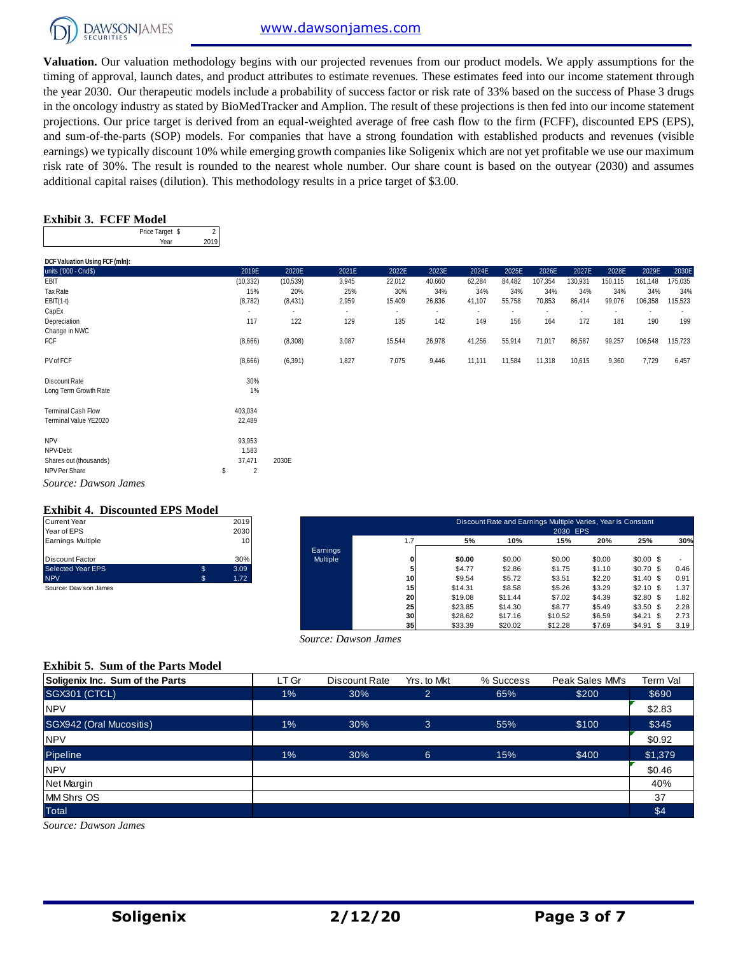

**Valuation.** Our valuation methodology begins with our projected revenues from our product models. We apply assumptions for the timing of approval, launch dates, and product attributes to estimate revenues. These estimates feed into our income statement through the year 2030. Our therapeutic models include a probability of success factor or risk rate of 33% based on the success of Phase 3 drugs in the oncology industry as stated by BioMedTracker and Amplion. The result of these projections is then fed into our income statement projections. Our price target is derived from an equal-weighted average of free cash flow to the firm (FCFF), discounted EPS (EPS), and sum-of-the-parts (SOP) models. For companies that have a strong foundation with established products and revenues (visible earnings) we typically discount 10% while emerging growth companies like Soligenix which are not yet profitable we use our maximum risk rate of 30%. The result is rounded to the nearest whole number. Our share count is based on the outyear (2030) and assumes additional capital raises (dilution). This methodology results in a price target of \$3.00.

#### **Exhibit 3. FCFF Model**

| Price Target \$ |      |
|-----------------|------|
| Year            | 2019 |

| DCF Valuation Using FCF (mln):         |                      |                          |                          |                          |                |        |                |         |                          |         |         |         |
|----------------------------------------|----------------------|--------------------------|--------------------------|--------------------------|----------------|--------|----------------|---------|--------------------------|---------|---------|---------|
| units ('000 - Cnd\$)                   | 2019E                | 2020E                    | 2021E                    | 2022E                    | 2023E          | 2024E  | 2025E          | 2026E   | 2027E                    | 2028E   | 2029E   | 2030E   |
| EBIT                                   | (10, 332)            | (10, 539)                | 3,945                    | 22,012                   | 40,660         | 62,284 | 84,482         | 107,354 | 130,931                  | 150,115 | 161,148 | 175,035 |
| Tax Rate                               | 15%                  | 20%                      | 25%                      | 30%                      | 34%            | 34%    | 34%            | 34%     | 34%                      | 34%     | 34%     | 34%     |
| $EBIT(1-t)$                            | (8, 782)             | (8,431)                  | 2,959                    | 15,409                   | 26,836         | 41,107 | 55,758         | 70,853  | 86,414                   | 99,076  | 106,358 | 115,523 |
| CapEx                                  | $\blacksquare$       | $\overline{\phantom{a}}$ | $\overline{\phantom{a}}$ | $\overline{\phantom{a}}$ | $\blacksquare$ | $\sim$ | $\blacksquare$ |         | $\overline{\phantom{a}}$ |         |         |         |
| Depreciation                           | 117                  | 122                      | 129                      | 135                      | 142            | 149    | 156            | 164     | 172                      | 181     | 190     | 199     |
| Change in NWC                          |                      |                          |                          |                          |                |        |                |         |                          |         |         |         |
| <b>FCF</b>                             | (8,666)              | (8,308)                  | 3,087                    | 15,544                   | 26,978         | 41,256 | 55,914         | 71,017  | 86,587                   | 99,257  | 106,548 | 115,723 |
| PV of FCF                              | (8,666)              | (6, 391)                 | 1,827                    | 7,075                    | 9,446          | 11,111 | 11,584         | 11,318  | 10,615                   | 9,360   | 7,729   | 6,457   |
| Discount Rate<br>Long Term Growth Rate | 30%<br>1%            |                          |                          |                          |                |        |                |         |                          |         |         |         |
| <b>Terminal Cash Flow</b>              | 403,034              |                          |                          |                          |                |        |                |         |                          |         |         |         |
| Terminal Value YE2020                  | 22,489               |                          |                          |                          |                |        |                |         |                          |         |         |         |
| <b>NPV</b>                             | 93,953               |                          |                          |                          |                |        |                |         |                          |         |         |         |
| NPV-Debt                               | 1,583                |                          |                          |                          |                |        |                |         |                          |         |         |         |
| Shares out (thousands)                 | 37,471               | 2030E                    |                          |                          |                |        |                |         |                          |         |         |         |
| NPV Per Share                          | $\overline{2}$<br>\$ |                          |                          |                          |                |        |                |         |                          |         |         |         |
| Source: Dawson James                   |                      |                          |                          |                          |                |        |                |         |                          |         |         |         |

#### **Exhibit 4. Discounted EPS Model**

| <b>Current Year</b>      |    | 2019 |
|--------------------------|----|------|
| Year of EPS              |    | 2030 |
| Earnings Multiple        |    | 10   |
|                          |    |      |
| <b>Discount Factor</b>   |    | 30%  |
| <b>Selected Year EPS</b> | \$ | 3.09 |
| <b>NPV</b>               | S. | 1.72 |
| Source: Daw son James    |    |      |

| Current Year          |    | 2019 |          |     |         | Discount Rate and Earnings Multiple Varies, Year is Constant |          |        |            |      |
|-----------------------|----|------|----------|-----|---------|--------------------------------------------------------------|----------|--------|------------|------|
| Year of EPS           |    | 2030 |          |     |         |                                                              | 2030 EPS |        |            |      |
| Earnings Multiple     |    | 10   |          | 1.7 | 5%      | 10%                                                          | 15%      | 20%    | 25%        | 30%  |
|                       |    |      | Earnings |     |         |                                                              |          |        |            |      |
| Discount Factor       |    | 30%  | Multiple |     | \$0.00  | \$0.00                                                       | \$0.00   | \$0.00 | $$0.00$ \$ |      |
| Selected Year EPS     | \$ | 3.09 |          |     | \$4.77  | \$2.86                                                       | \$1.75   | \$1.10 | $$0.70$ \$ | 0.46 |
| <b>NPV</b>            | s. | 1.72 |          | 10  | \$9.54  | \$5.72                                                       | \$3.51   | \$2.20 | $$1.40$ \$ | 0.91 |
| Source: Daw son James |    |      |          | 15  | \$14.31 | \$8.58                                                       | \$5.26   | \$3.29 | $$2.10$ \$ | 1.37 |
|                       |    |      |          | 20  | \$19.08 | \$11.44                                                      | \$7.02   | \$4.39 | $$2.80$ \$ | 1.82 |
|                       |    |      |          | 25  | \$23.85 | \$14.30                                                      | \$8.77   | \$5.49 | $$3.50$ \$ | 2.28 |
|                       |    |      |          | 30  | \$28.62 | \$17.16                                                      | \$10.52  | \$6.59 | $$4.21$ \$ | 2.73 |
|                       |    |      |          | 35  | \$33.39 | \$20.02                                                      | \$12.28  | \$7.69 | $$4.91$ \$ | 3.19 |

#### **Exhibit 5. Sum of the Parts Model**

|                                          |       | Source: Dawson James |                |           |                 |          |
|------------------------------------------|-------|----------------------|----------------|-----------|-----------------|----------|
| <b>Exhibit 5. Sum of the Parts Model</b> |       |                      |                |           |                 |          |
| Soligenix Inc. Sum of the Parts          | LT Gr | Discount Rate        | Yrs. to Mkt    | % Success | Peak Sales MM's | Term Val |
| <b>SGX301 (CTCL)</b>                     | 1%    | 30%                  | $\overline{2}$ | 65%       | \$200           | \$690    |
| <b>NPV</b>                               |       |                      |                |           |                 | \$2.83   |
| SGX942 (Oral Mucositis)                  | $1\%$ | 30%                  | 3              | 55%       | \$100           | \$345    |
| <b>NPV</b>                               |       |                      |                |           |                 | \$0.92   |
| Pipeline                                 | 1%    | 30%                  | $6\phantom{1}$ | 15%       | \$400           | \$1,379  |
| <b>NPV</b>                               |       |                      |                |           |                 | \$0.46   |
| Net Margin                               |       |                      |                |           |                 | 40%      |
| <b>MM Shrs OS</b>                        |       |                      |                |           |                 | 37       |
| <b>Total</b>                             |       |                      |                |           |                 | \$4      |
| Source: Dawson James                     |       |                      |                |           |                 |          |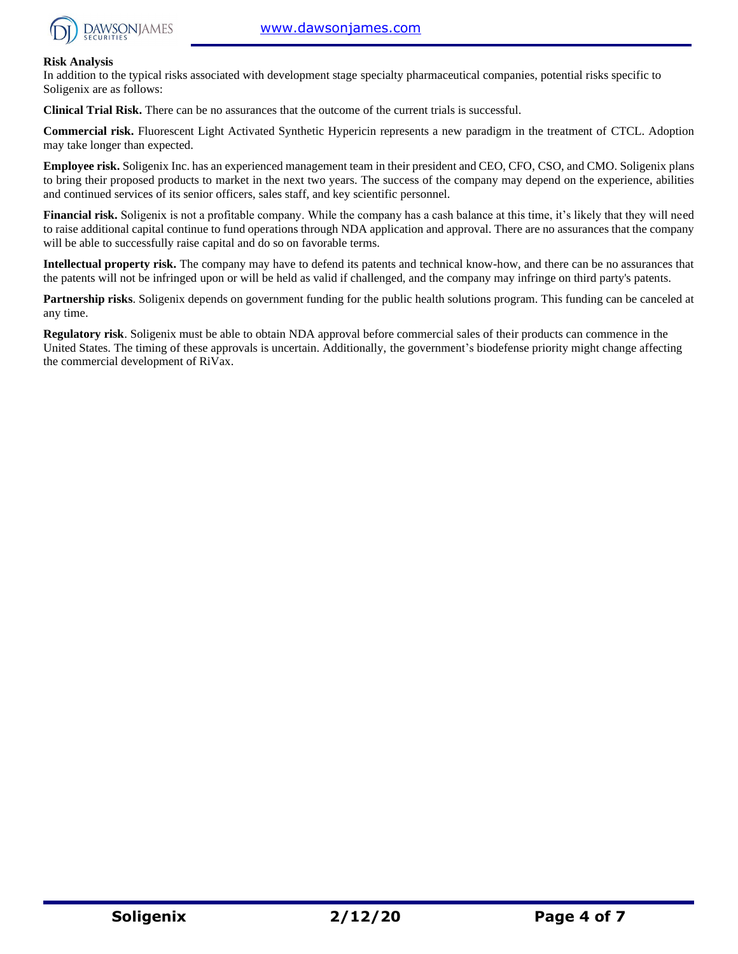

#### **Risk Analysis**

In addition to the typical risks associated with development stage specialty pharmaceutical companies, potential risks specific to Soligenix are as follows:

**Clinical Trial Risk.** There can be no assurances that the outcome of the current trials is successful.

**Commercial risk.** Fluorescent Light Activated Synthetic Hypericin represents a new paradigm in the treatment of CTCL. Adoption may take longer than expected.

**Employee risk.** Soligenix Inc. has an experienced management team in their president and CEO, CFO, CSO, and CMO. Soligenix plans to bring their proposed products to market in the next two years. The success of the company may depend on the experience, abilities and continued services of its senior officers, sales staff, and key scientific personnel.

**Financial risk.** Soligenix is not a profitable company. While the company has a cash balance at this time, it's likely that they will need to raise additional capital continue to fund operations through NDA application and approval. There are no assurances that the company will be able to successfully raise capital and do so on favorable terms.

**Intellectual property risk.** The company may have to defend its patents and technical know-how, and there can be no assurances that the patents will not be infringed upon or will be held as valid if challenged, and the company may infringe on third party's patents.

**Partnership risks**. Soligenix depends on government funding for the public health solutions program. This funding can be canceled at any time.

**Regulatory risk**. Soligenix must be able to obtain NDA approval before commercial sales of their products can commence in the United States. The timing of these approvals is uncertain. Additionally, the government's biodefense priority might change affecting the commercial development of RiVax.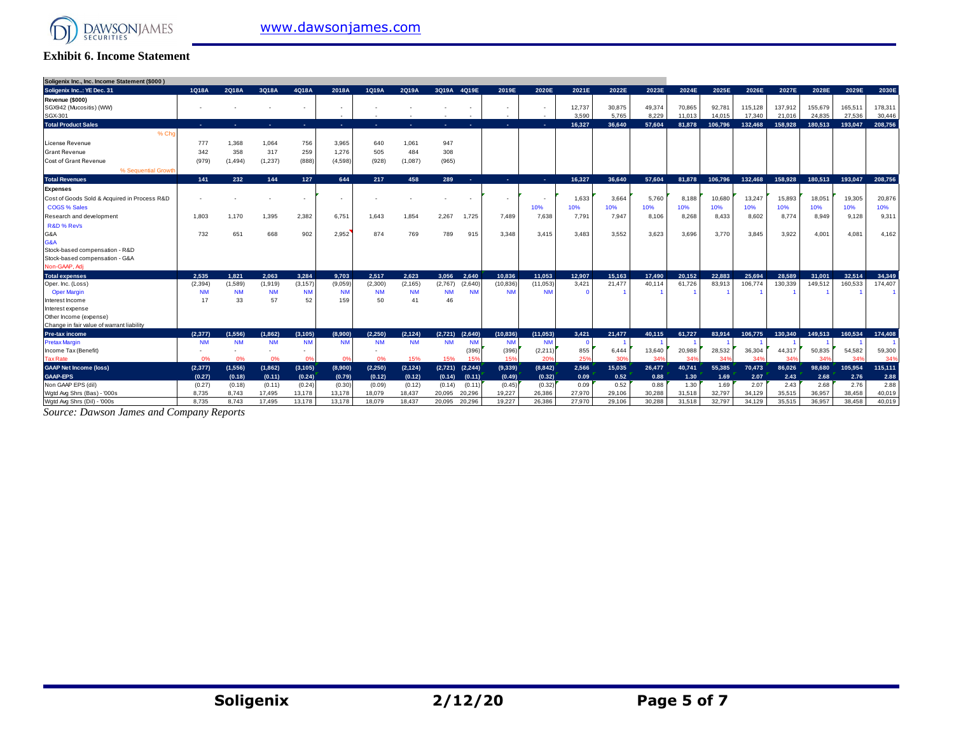

#### **Exhibit 6. Income Statement**

| Soligenix Inc., Inc. Income Statement (\$000) |           |           |           |                |                          |           |            |                                 |                          |                      |                   |        |        |        |         |         |         |                 |         |         |
|-----------------------------------------------|-----------|-----------|-----------|----------------|--------------------------|-----------|------------|---------------------------------|--------------------------|----------------------|-------------------|--------|--------|--------|---------|---------|---------|-----------------|---------|---------|
| Soligenix Inc: YE Dec. 31                     | 1Q18A     | 2Q18A     | 3Q18A     | 4Q18A          | 2018A                    | 1Q19A     | 2Q19A      | 3Q19A 4Q19E                     | 2019E                    | 2020E                | 2021E             | 2022E  | 2023E  | 2024E  | 2025E   | 2026E   | 2027E   | 2028E           | 2029E   | 2030E   |
| Revenue (\$000)                               |           |           |           |                |                          |           |            |                                 |                          |                      |                   |        |        |        |         |         |         |                 |         |         |
| SGX942 (Mucositis) (WW)                       |           |           |           |                |                          |           |            |                                 |                          |                      | 12,737            | 30,875 | 49,374 | 70.865 | 92.781  | 115,128 | 137,912 | 155,679         | 165,51  | 178,311 |
| SGX-301                                       |           |           |           |                | $\overline{\phantom{a}}$ |           |            |                                 | $\overline{\phantom{a}}$ |                      | 3.590             | 5.765  | 8.229  | 11.013 | 14.015  | 17.340  | 21.016  | 24,835          | 27.536  | 30,446  |
| <b>Total Product Sales</b>                    | . –       | ٠         | . .       | <b>.</b>       | <b>COL</b>               | ж.        | <b>COL</b> | ۰.<br><b>COL</b>                | ×.                       | ×.                   | 16.327            | 36.640 | 57.604 | 81,878 | 106.796 | 132.468 | 158,928 | 180.513         | 193,047 | 208,756 |
| % Ch                                          |           |           |           |                |                          |           |            |                                 |                          |                      |                   |        |        |        |         |         |         |                 |         |         |
| License Revenue                               | 777       | 1,368     | 1,064     | 756            | 3,965                    | 640       | 1,061      | 947                             |                          |                      |                   |        |        |        |         |         |         |                 |         |         |
| <b>Grant Revenue</b>                          | 342       | 358       | 317       | 259            | 1,276                    | 505       | 484        | 308                             |                          |                      |                   |        |        |        |         |         |         |                 |         |         |
| <b>Cost of Grant Revenue</b>                  | (979)     | (1, 494)  | (1, 237)  | (888)          | (4,598)                  | (928)     | (1,087)    | (965)                           |                          |                      |                   |        |        |        |         |         |         |                 |         |         |
| % Sequential Growth                           |           |           |           |                |                          |           |            |                                 |                          |                      |                   |        |        |        |         |         |         |                 |         |         |
| <b>Total Revenues</b>                         | 141       | 232       | 144       | 127            | 644                      | 217       | 458        | 289<br>-41                      | ×.                       | ×.                   | 16.327            | 36.640 | 57.604 | 81.878 | 106.796 | 132.468 | 158.928 | 180.513         | 193.047 | 208.756 |
| <b>Expenses</b>                               |           |           |           |                |                          |           |            |                                 |                          |                      |                   |        |        |        |         |         |         |                 |         |         |
| Cost of Goods Sold & Acquired in Process R&D  |           |           |           |                | $\overline{\phantom{a}}$ |           |            |                                 | $\overline{\phantom{a}}$ |                      | 1.633             | 3,664  | 5.760  | 8,188  | 10,680  | 13,247  | 15,893  | 18,05'          | 19,305  | 20,876  |
| <b>COGS % Sales</b>                           |           |           |           |                |                          |           |            |                                 |                          | 10%                  | 10%               | 10%    | 10%    | 10%    | 10%     | 10%     | 10%     | 10%             | 10%     | 10%     |
| Research and development                      | 1.803     | 1.170     | 1,395     | 2,382          | 6,751                    | 1.643     | 1,854      | 2,267<br>1,725                  | 7,489                    | 7,638                | 7,791             | 7,947  | 8,106  | 8,268  | 8,433   | 8,602   | 8,774   | 8,949           | 9,128   | 9,311   |
| R&D % Revs                                    |           |           |           |                |                          |           |            |                                 |                          |                      |                   |        |        |        |         |         |         |                 |         |         |
| G&A                                           | 732       | 651       | 668       | 902            | 2.952                    | 874       | 769        | 789<br>915                      | 3,348                    | 3.415                | 3.483             | 3.552  | 3.623  | 3.696  | 3,770   | 3.845   | 3.922   | $4,00^{\circ}$  | 4,081   | 4,162   |
| G&A                                           |           |           |           |                |                          |           |            |                                 |                          |                      |                   |        |        |        |         |         |         |                 |         |         |
| Stock-based compensation - R&D                |           |           |           |                |                          |           |            |                                 |                          |                      |                   |        |        |        |         |         |         |                 |         |         |
| Stock-based compensation - G&A                |           |           |           |                |                          |           |            |                                 |                          |                      |                   |        |        |        |         |         |         |                 |         |         |
| Non-GAAP, Adi                                 |           |           |           |                |                          |           |            |                                 |                          |                      |                   |        |        |        |         |         |         |                 |         |         |
| <b>Total expenses</b>                         | 2.535     | 1.821     | 2.063     | 3.284          | 9.703                    | 2.517     | 2.623      | 2.640<br>3.056                  | 10.836                   | 11.053               | 12.907            | 15.163 | 17.490 | 20.152 | 22.883  | 25.694  | 28.589  | 31,001          | 32.514  | 34,349  |
| Oper. Inc. (Loss)                             | (2, 394)  | (1,589)   | (1,919)   | (3, 157)       | (9,059)                  | (2,300)   | (2, 165)   | (2,767)<br>(2,640)              | (10, 836)                | (11,053)             | 3,421             | 21,477 | 40,114 | 61,726 | 83,913  | 106,774 | 130,339 | 149,512         | 160,533 | 174,407 |
| <b>Oper Margin</b>                            | <b>NM</b> | <b>NM</b> | <b>NM</b> | <b>NM</b>      | <b>NM</b>                | <b>NM</b> | <b>NM</b>  | <b>NM</b><br><b>NM</b>          | <b>NM</b>                | <b>NM</b>            | $\Omega$          |        |        |        |         |         |         |                 |         |         |
| Interest Income                               | 17        | 33        | 57        | 52             | 159                      | 50        | 41         | 46                              |                          |                      |                   |        |        |        |         |         |         |                 |         |         |
| Interest expense                              |           |           |           |                |                          |           |            |                                 |                          |                      |                   |        |        |        |         |         |         |                 |         |         |
| Other Income (expense)                        |           |           |           |                |                          |           |            |                                 |                          |                      |                   |        |        |        |         |         |         |                 |         |         |
| Change in fair value of warrant liability     |           |           |           |                |                          |           |            |                                 |                          |                      |                   |        |        |        |         |         |         |                 |         |         |
| <b>Pre-tax income</b>                         | (2.377)   | (1.556)   | (1.862)   | (3.105)        | (8.900)                  | (2.250)   | (2.124)    | (2.640)<br>(2.721)              | (10.836)                 | (11.053)             | 3.421<br>$\Omega$ | 21.477 | 40.115 | 61.727 | 83.914  | 106.775 | 130,340 | 149.513         | 160.534 | 174.408 |
| <b>Pretax Margir</b><br>Income Tax (Benefit)  | <b>NM</b> | <b>NM</b> | <b>NM</b> | <b>NM</b>      | <b>NM</b>                | <b>NM</b> | <b>NM</b>  | <b>NM</b><br><b>NM</b><br>(396) | <b>NM</b><br>(396)       | <b>NM</b><br>(2,211) | 855               | 6,444  | 13,640 | 20,988 | 28,532  | 36,304  | 44,317  | 50,835          | 54,582  | 59,300  |
| <b>Tax Rate</b>                               | 0%        | 0%        | 0%        | O <sup>9</sup> | - 0%                     | 0%        | 15%        | 15%<br>15%                      | 159                      | 20%                  | 25%               | 30%    | 34%    | 34%    | 34%     | 34%     | 34%     | 34 <sup>o</sup> | 34%     | 34%     |
| <b>GAAP Net Income (loss)</b>                 | (2,377)   | (1,556)   | (1,862)   | (3, 105)       | (8,900)                  | (2, 250)  | (2, 124)   | (2,721)<br>(2, 244)             | (9,339)                  | (8,842)              | 2.566             | 15.035 | 26,477 | 40.741 | 55.385  | 70.473  | 86.026  | 98.680          | 105,954 | 115,111 |
| <b>GAAP-EPS</b>                               | (0.27)    | (0.18)    | (0.11)    | (0.24)         | (0.79)                   | (0.12)    | (0.12)     | (0.14)<br>(0.11)                | (0.49)                   | (0.32)               | 0.09              | 0.52   | 0.88   | 1.30   | 1.69    | 2.07    | 2.43    | 2.68            | 2.76    | 2.88    |
| Non GAAP EPS (dil)                            | (0.27)    | (0.18)    | (0.11)    | (0.24)         | (0.30)                   | (0.09)    | (0.12)     | (0.11)<br>(0.14)                | (0.45)                   | (0.32)               | 0.09              | 0.52   | 0.88   | 1.30   | 1.69    | 2.07    | 2.43    | 2.68            | 2.76    | 2.88    |
| Wgtd Avg Shrs (Bas) - '000s                   | 8.735     | 8.743     | 17,495    | 13,178         | 13,178                   | 18,079    | 18,437     | 20,296<br>20,095                | 19,227                   | 26,386               | 27,970            | 29,106 | 30,288 | 31,518 | 32,797  | 34,129  | 35,515  | 36,957          | 38.458  | 40,019  |
| Wgtd Avg Shrs (Dil) - '000s                   | 8.735     | 8.743     | 17.495    | 13.178         | 13.178                   | 18.079    | 18.437     | 20.296<br>20.095                | 19.227                   | 26,386               | 27,970            | 29,106 | 30.288 | 31.518 | 32.797  | 34.129  | 35.515  | 36.957          | 38.458  | 40.019  |

*Source: Dawson James and Company Reports*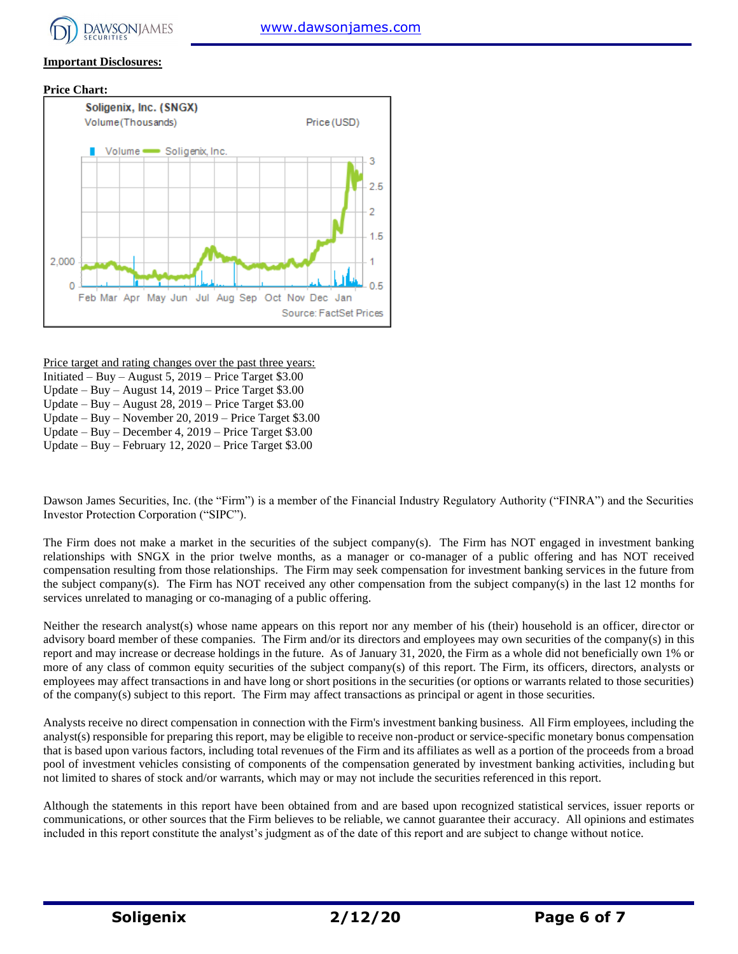

#### **Important Disclosures:**





Price target and rating changes over the past three years:

- Initiated Buy August 5, 2019 Price Target \$3.00
- Update Buy August 14, 2019 Price Target \$3.00
- Update Buy August 28, 2019 Price Target \$3.00
- Update Buy November 20, 2019 Price Target \$3.00

Update – Buy – December 4, 2019 – Price Target \$3.00 Update – Buy – February 12, 2020 – Price Target \$3.00

Dawson James Securities, Inc. (the "Firm") is a member of the Financial Industry Regulatory Authority ("FINRA") and the Securities Investor Protection Corporation ("SIPC").

The Firm does not make a market in the securities of the subject company(s). The Firm has NOT engaged in investment banking relationships with SNGX in the prior twelve months, as a manager or co-manager of a public offering and has NOT received compensation resulting from those relationships. The Firm may seek compensation for investment banking services in the future from the subject company(s). The Firm has NOT received any other compensation from the subject company(s) in the last 12 months for services unrelated to managing or co-managing of a public offering.

Neither the research analyst(s) whose name appears on this report nor any member of his (their) household is an officer, director or advisory board member of these companies. The Firm and/or its directors and employees may own securities of the company(s) in this report and may increase or decrease holdings in the future. As of January 31, 2020, the Firm as a whole did not beneficially own 1% or more of any class of common equity securities of the subject company(s) of this report. The Firm, its officers, directors, analysts or employees may affect transactions in and have long or short positions in the securities (or options or warrants related to those securities) of the company(s) subject to this report. The Firm may affect transactions as principal or agent in those securities.

Analysts receive no direct compensation in connection with the Firm's investment banking business. All Firm employees, including the analyst(s) responsible for preparing this report, may be eligible to receive non-product or service-specific monetary bonus compensation that is based upon various factors, including total revenues of the Firm and its affiliates as well as a portion of the proceeds from a broad pool of investment vehicles consisting of components of the compensation generated by investment banking activities, including but not limited to shares of stock and/or warrants, which may or may not include the securities referenced in this report.

Although the statements in this report have been obtained from and are based upon recognized statistical services, issuer reports or communications, or other sources that the Firm believes to be reliable, we cannot guarantee their accuracy. All opinions and estimates included in this report constitute the analyst's judgment as of the date of this report and are subject to change without notice.